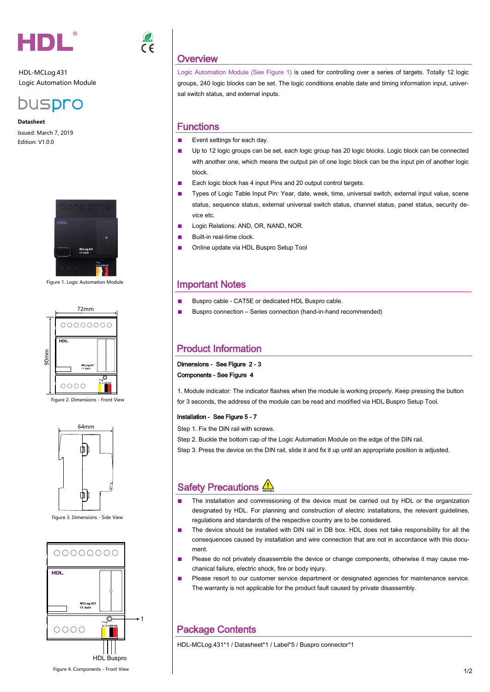

HDL-MCLog.431 Logic Automation Module



**Datasheet** Issued: March 7, 2019 Edition: V1.0.0



Figure 1. Logic Automation Module



Figure 2. Dimensions - Front View



Figure 3. Dimensions - Side View



# **Overview**

Logic Automation Module (See Figure 1) is used for controlling over a series of targets. Totally 12 logic groups, 240 logic blocks can be set. The logic conditions enable date and timing information input, universal switch status, and external inputs.

#### **Functions**

- Event settings for each day.
- Up to 12 logic groups can be set, each logic group has 20 logic blocks. Logic block can be connected with another one, which means the output pin of one logic block can be the input pin of another logic block.
- Each logic block has 4 input Pins and 20 output control targets.
- Types of Logic Table Input Pin: Year, date, week, time, universal switch, external input value, scene status, sequence status, external universal switch status, channel status, panel status, security device etc.
- Logic Relations: AND, OR, NAND, NOR.
- Built-in real-time clock.
- Online update via HDL Buspro Setup Tool

#### Important Notes

- Buspro cable CAT5E or dedicated HDL Buspro cable.
- Buspro connection Series connection (hand-in-hand recommended)

### Product Information

Dimensions - See Figure 2 - 3 Components - See Figure 4

1. Module indicator: The indicator flashes when the module is working properly. Keep pressing the button for 3 seconds, the address of the module can be read and modified via HDL Buspro Setup Tool.

#### Installation - See Figure 5 - 7

Step 1. Fix the DIN rail with screws.

Step 2. Buckle the bottom cap of the Logic Automation Module on the edge of the DIN rail.

Step 3. Press the device on the DIN rail, slide it and fix it up until an appropriate position is adjusted.

## Safety Precautions  $\sqrt{N}$

- The installation and commissioning of the device must be carried out by HDL or the organization designated by HDL. For planning and construction of electric installations, the relevant quidelines, regulations and standards of the respective country are to be considered.
- The device should be installed with DIN rail in DB box. HDL does not take responsibility for all the consequences caused by installation and wire connection that are not in accordance with this document.
- Please do not privately disassemble the device or change components, otherwise it may cause mechanical failure, electric shock, fire or body injury.
- Please resort to our customer service department or designated agencies for maintenance service. The warranty is not applicable for the product fault caused by private disassembly.

## Package Contents

HDL-MCLog.431\*1 / Datasheet\*1 / Label\*5 / Buspro connector\*1